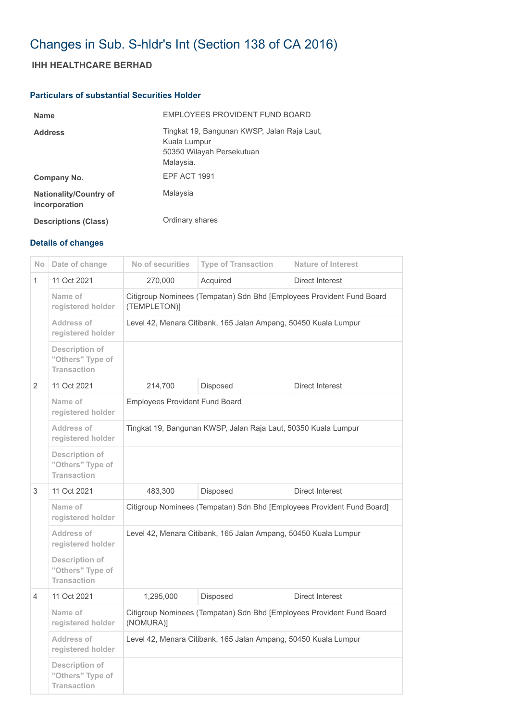## Changes in Sub. S-hldr's Int (Section 138 of CA 2016)

## **IHH HEALTHCARE BERHAD**

## **Particulars of substantial Securities Holder**

| <b>Name</b>                                    | EMPLOYEES PROVIDENT FUND BOARD                                                                        |
|------------------------------------------------|-------------------------------------------------------------------------------------------------------|
| <b>Address</b>                                 | Tingkat 19, Bangunan KWSP, Jalan Raja Laut,<br>Kuala Lumpur<br>50350 Wilayah Persekutuan<br>Malaysia. |
| Company No.                                    | <b>EPF ACT 1991</b>                                                                                   |
| <b>Nationality/Country of</b><br>incorporation | Malaysia                                                                                              |
| <b>Descriptions (Class)</b>                    | Ordinary shares                                                                                       |

## **Details of changes**

| N <sub>o</sub> | Date of change                                           | No of securities                                                                      | <b>Type of Transaction</b> | <b>Nature of Interest</b> |  |
|----------------|----------------------------------------------------------|---------------------------------------------------------------------------------------|----------------------------|---------------------------|--|
| $\mathbf{1}$   | 11 Oct 2021                                              | 270,000                                                                               | Acquired                   | <b>Direct Interest</b>    |  |
|                | Name of<br>registered holder                             | Citigroup Nominees (Tempatan) Sdn Bhd [Employees Provident Fund Board<br>(TEMPLETON)] |                            |                           |  |
|                | <b>Address of</b><br>registered holder                   | Level 42, Menara Citibank, 165 Jalan Ampang, 50450 Kuala Lumpur                       |                            |                           |  |
|                | Description of<br>"Others" Type of<br><b>Transaction</b> |                                                                                       |                            |                           |  |
| 2              | 11 Oct 2021                                              | 214,700                                                                               | Disposed                   | Direct Interest           |  |
|                | Name of<br>registered holder                             | <b>Employees Provident Fund Board</b>                                                 |                            |                           |  |
|                | Address of<br>registered holder                          | Tingkat 19, Bangunan KWSP, Jalan Raja Laut, 50350 Kuala Lumpur                        |                            |                           |  |
|                | Description of<br>"Others" Type of<br><b>Transaction</b> |                                                                                       |                            |                           |  |
| 3              | 11 Oct 2021                                              | 483,300                                                                               | Disposed                   | Direct Interest           |  |
|                | Name of<br>registered holder                             | Citigroup Nominees (Tempatan) Sdn Bhd [Employees Provident Fund Board]                |                            |                           |  |
|                | Address of<br>registered holder                          | Level 42, Menara Citibank, 165 Jalan Ampang, 50450 Kuala Lumpur                       |                            |                           |  |
|                | Description of<br>"Others" Type of<br><b>Transaction</b> |                                                                                       |                            |                           |  |
| 4              | 11 Oct 2021                                              | 1,295,000                                                                             | Disposed                   | Direct Interest           |  |
|                | Name of<br>registered holder                             | Citigroup Nominees (Tempatan) Sdn Bhd [Employees Provident Fund Board<br>(NOMURA)]    |                            |                           |  |
|                | Address of<br>registered holder                          | Level 42, Menara Citibank, 165 Jalan Ampang, 50450 Kuala Lumpur                       |                            |                           |  |
|                | Description of<br>"Others" Type of<br><b>Transaction</b> |                                                                                       |                            |                           |  |